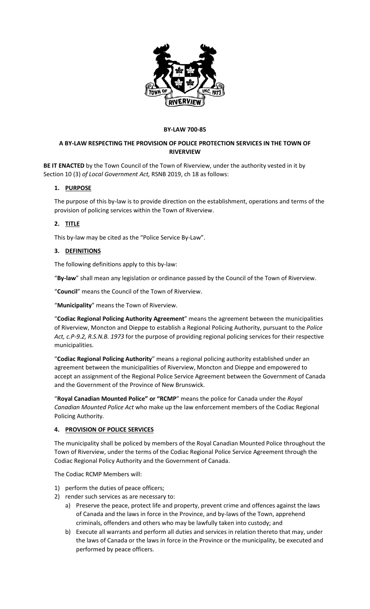

#### **BY-LAW 700-85**

# **A BY-LAW RESPECTING THE PROVISION OF POLICE PROTECTION SERVICES IN THE TOWN OF RIVERVIEW**

**BE IT ENACTED** by the Town Council of the Town of Riverview, under the authority vested in it by Section 10 (3) *of Local Government Act,* RSNB 2019, ch 18 as follows:

# **1. PURPOSE**

The purpose of this by-law is to provide direction on the establishment, operations and terms of the provision of policing services within the Town of Riverview.

#### **2. TITLE**

This by-law may be cited as the "Police Service By-Law".

#### **3. DEFINITIONS**

The following definitions apply to this by-law:

"**By-law**" shall mean any legislation or ordinance passed by the Council of the Town of Riverview.

"**Council**" means the Council of the Town of Riverview.

"**Municipality**" means the Town of Riverview.

"**Codiac Regional Policing Authority Agreement**" means the agreement between the municipalities of Riverview, Moncton and Dieppe to establish a Regional Policing Authority, pursuant to the *Police Act, c.P-9.2, R.S.N.B. 1973* for the purpose of providing regional policing services for their respective municipalities.

"**Codiac Regional Policing Authority**" means a regional policing authority established under an agreement between the municipalities of Riverview, Moncton and Dieppe and empowered to accept an assignment of the Regional Police Service Agreement between the Government of Canada and the Government of the Province of New Brunswick.

"**Royal Canadian Mounted Police" or "RCMP**" means the police for Canada under the *Royal Canadian Mounted Police Act* who make up the law enforcement members of the Codiac Regional Policing Authority*.* 

# **4. PROVISION OF POLICE SERVICES**

The municipality shall be policed by members of the Royal Canadian Mounted Police throughout the Town of Riverview, under the terms of the Codiac Regional Police Service Agreement through the Codiac Regional Policy Authority and the Government of Canada.

The Codiac RCMP Members will:

- 1) perform the duties of peace officers;
- 2) render such services as are necessary to:
	- a) Preserve the peace, protect life and property, prevent crime and offences against the laws of Canada and the laws in force in the Province, and by-laws of the Town, apprehend criminals, offenders and others who may be lawfully taken into custody; and
	- b) Execute all warrants and perform all duties and services in relation thereto that may, under the laws of Canada or the laws in force in the Province or the municipality, be executed and performed by peace officers.